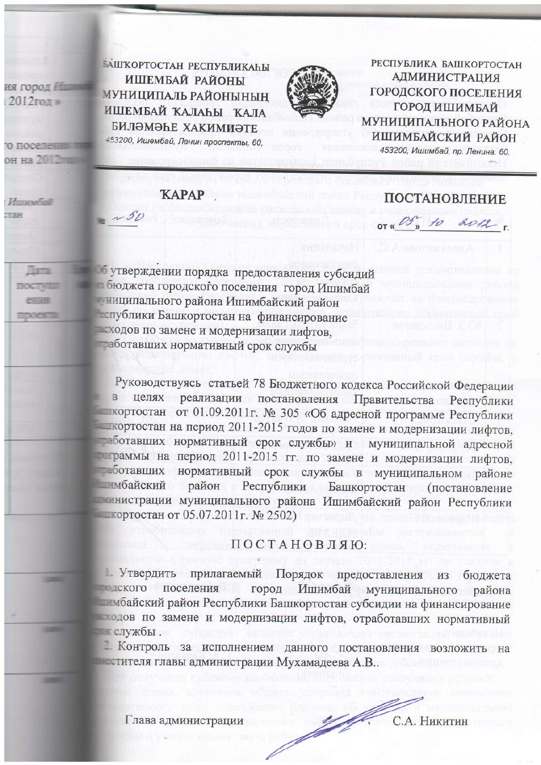ия город № 2012год и

он на 20

**Thems** 

errass

mocests

1300

**DOCTWE** 

*Ummeyers* TAH

## **KAPAP**

 $\sim$  50

БАШКОРТОСТАН РЕСПУБЛИКАҺЫ ИШЕМБАЙ РАЙОНЫ

МУНИЦИПАЛЬ РАЙОНЫНЫҢ

ИШЕМБАЙ КАЛАҺЫ КАЛА

**БИЛӘМӘҺЕ ХАКИМИӘТЕ** 

453200, Ишембай, Ленин проспекты, 60,

## **ПОСТАНОВЛЕНИЕ**

РЕСПУБЛИКА БАШКОРТОСТАН

**АДМИНИСТРАЦИЯ** 

ГОРОДСКОГО ПОСЕЛЕНИЯ

**ГОРОД ИШИМБАЙ** 

**МУНИЦИПАЛЬНОГО РАЙОНА** 

ИШИМБАЙСКИЙ РАЙОН

453200, Ишимбай, пр. Ленина, 60.

OT « B" 10 2012.

б утверждении порядка предоставления субсидий в бюджета городского поселения город Ишимбай ниципального района Ишимбайский район еспублики Башкортостан на финансирование есходов по замене и модернизации лифтов, таботавших нормативный срок службы

Руководствуясь статьей 78 Бюджетного кодекса Российской Федерации в целях реализации постановления Правительства Республики **Шкортостан** от 01.09.2011г. № 305 «Об адресной программе Республики жортостан на период 2011-2015 годов по замене и модернизации лифтов, таботавших нормативный срок службы» и муниципальной адресной праммы на период 2011-2015 гг. по замене и модернизации лифтов, таботавших нормативный срок службы в муниципальном районе побайский район Республики Башкортостан (постановление плистрации муниципального района Ишимбайский район Республики **■ кортостан от 05.07.2011г. № 2502)** 

## ПОСТАНОВЛЯЮ:

1. Утвердить прилагаемый Порядок предоставления из бюджета город Ишимбай муниципального района подского поселения побайский район Республики Башкортостан субсидии на финансирование подов по замене и модернизации лифтов, отработавших нормативный службы.

1 Контроль за исполнением данного постановления возложить на и естителя главы администрации Мухамадеева А.В..

Глава администрации

John Maria С.А. Никитин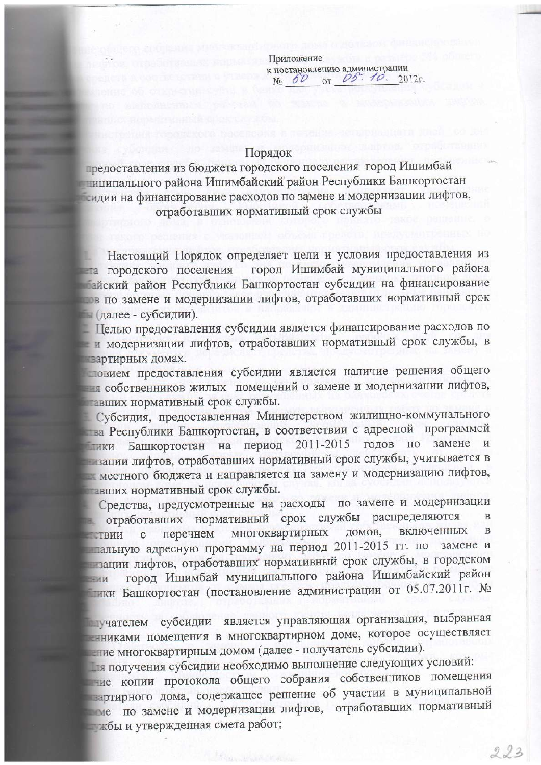Приложение к постановлению администрации<br>Nº 60 от 05. 10. 2012г.

## Порядок

предоставления из бюджета городского поселения город Ишимбай ниципального района Ишимбайский район Республики Башкортостан сидии на финансирование расходов по замене и модернизации лифтов, отработавших нормативный срок службы

Настоящий Порядок определяет цели и условия предоставления из город Ишимбай муниципального района на городского поселения пайский район Республики Башкортостан субсидии на финансирование пов по замене и модернизации лифтов, отработавших нормативный срок по (далее - субсидии).

Пелью предоставления субсидии является финансирование расходов по - и модернизации лифтов, отработавших нормативный срок службы, в вартирных домах.

повием предоставления субсидии является наличие решения общего ная собственников жилых помещений о замене и модернизации лифтов, тавших нормативный срок службы.

Субсидия, предоставленная Министерством жилищно-коммунального тва Республики Башкортостан, в соответствии с адресной программой на период 2011-2015 годов по замене зации лифтов, отработавших нормативный срок службы, учитывается в местного бюджета и направляется на замену и модернизацию лифтов, тавших нормативный срок службы.

Средства, предусмотренные на расходы по замене и модернизации отработавших нормативный срок службы распределяются  $\overline{B}$ включенных B многоквартирных домов, перечнем **СТВИИ** Ċ пальную адресную программу на период 2011-2015 гг. по замене и в зации лифтов, отработавших нормативный срок службы, в городском город Ишимбай муниципального района Ишимбайский район  $-MH$ ики Башкортостан (постановление администрации от 05.07.2011г. №

плучателем субсидии является управляющая организация, выбранная - никами помещения в многоквартирном доме, которое осуществляет ние многоквартирным домом (далее - получатель субсидии).

ля получения субсидии необходимо выполнение следующих условий:

ние копии протокола общего собрания собственников помещения зартирного дома, содержащее решение об участии в муниципальной по замене и модернизации лифтов, отработавших нормативный жбы и утвержденная смета работ;

 $223$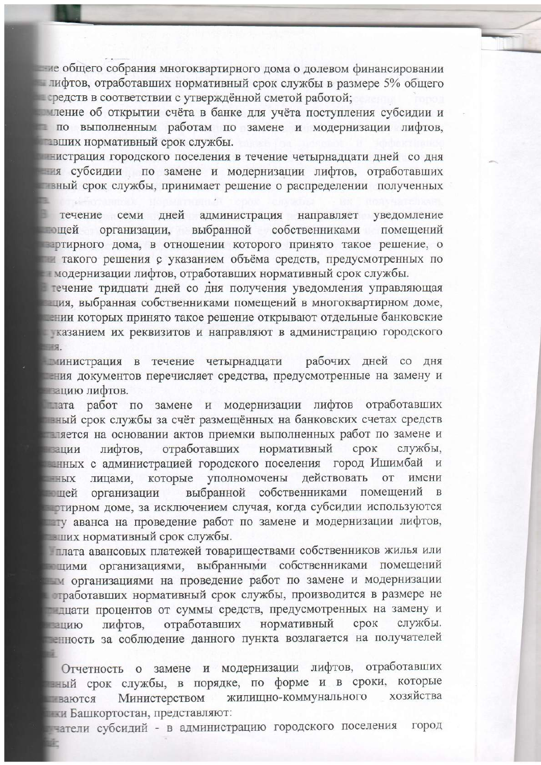не общего собрания многоквартирного дома о долевом финансировании лифтов, отработавших нормативный срок службы в размере 5% общего передств в соответствии с утверждённой сметой работой;

иление об открытии счёта в банке для учёта поступления субсидии и по выполненным работам по замене и модернизации лифтов, звших нормативный срок службы.

нистрация городского поселения в течение четырнадцати дней со дня ня субсидии по замене и модернизации лифтов, отработавших вный срок службы, принимает решение о распределении полученных

течение семи дней администрация направляет уведомление выбранной собственниками эщей организации, помешений партирного дома, в отношении которого принято такое решение, о такого решения с указанием объёма средств, предусмотренных по модернизации лифтов, отработавших нормативный срок службы.

течение тридцати дней со дня получения уведомления управляющая ния, выбранная собственниками помещений в многоквартирном доме, тении которых принято такое решение открывают отдельные банковские казанием их реквизитов и направляют в администрацию городского **REGIST** 

министрация в течение четырнадцати рабочих дней со дня ния документов перечисляет средства, предусмотренные на замену и пацию лифтов.

плата работ по замене и модернизации лифтов отработавших наный срок службы за счёт размещённых на банковских счетах средств пляется на основании актов приемки выполненных работ по замене и нормативный отработавших лифтов. срок службы, ации и нных с администрацией городского поселения город Ишимбай и лицами, которые уполномочены действовать **OT** имени  $-H_{H}X$ выбранной собственниками помещений шей организации тирном доме, за исключением случая, когда субсидии используются ту аванса на проведение работ по замене и модернизации лифтов, вших нормативный срок службы.

плата авансовых платежей товариществами собственников жилья или пцими организациями, выбранными собственниками помещений м организациями на проведение работ по замене и модернизации стработавших нормативный срок службы, производится в размере не плиати процентов от суммы средств, предусмотренных на замену и нормативный службы. отработавших срок лифтов. ацию енность за соблюдение данного пункта возлагается на получателей

Отчетность о замене и модернизации лифтов, отработавших зный срок службы, в порядке, по форме и в сроки, которые хозяйства жилищно-коммунального Министерством ваются ны Башкортостан, представляют:

чатели субсидий - в администрацию городского поселения город